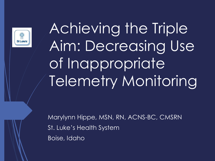

Achieving the Triple Aim: Decreasing Use of Inappropriate Telemetry Monitoring

Marylynn Hippe, MSN, RN, ACNS-BC, CMSRN St. Luke's Health System Boise, Idaho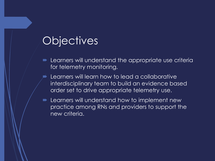### **Objectives**

- Learners will understand the appropriate use criteria for telemetry monitoring.
- Learners will learn how to lead a collaborative interdisciplinary team to build an evidence based order set to drive appropriate telemetry use.
- **EXT** Learners will understand how to implement new practice among RNs and providers to support the new criteria.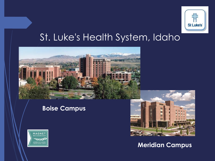

#### St. Luke's Health System, Idaho



#### **Boise Campus**





#### **Meridian Campus**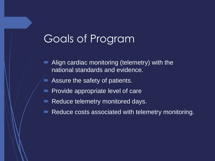# Goals of Program

- Align cardiac monitoring (telemetry) with the national standards and evidence.
- **Assure the safety of patients.**
- Provide appropriate level of care
- Reduce telemetry monitored days.
- Reduce costs associated with telemetry monitoring.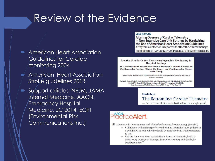# Review of the Evidence

- **American Heart Association** Guidelines for Cardiac monitoring 2004
- **American Heart Association** Stroke guidelines 2013
- Support articles: NEJM, JAMA Internal Medicine, AACN, Emergency Hospital Medicine, JC 2014, ECRI (Environmental Risk Communications Inc.)

#### **LESS IS MORE**

**Altering Overuse of Cardiac Telemetry** in Non-Intensive Care Unit Settings by Hardwiring<br>the Use of American Heart Association Guidelines Arrhythmia detection is reported to affect the clinical management of care in 3.4% to 12.7% of patients.<sup>1</sup> The American Heart

Practice Standards for Electrocardiographic Monitoring in **Hospital Settings** 

An American Heart Association Scientific Statement From the Councils on Cardiovascular Nursing, Clinical Cardiology, and Cardiovascular Disease in the Young

Endorsed by the International Society of Computerized Electrocardiology and the American Association of **Critical-Care Nurses** 

Barbara J. Drew, RN, PhD, Chair; Robert M. Califf, MD; Marjorie Funk, RN, PhD; Elizabeth S. Kaufman, MD; Mitchell W. Krucoff, MD; Michael M. Laks, MD; Peter W. Macfarlane, DSc, FRCP; Claire Sommargren, RN, PhD; Steven Swirvn, MD; George F, Van Hare, MD

#### **Cardiology**

The Bottomline: Cardiac Telemetry

- Can a 'wise' choice save \$4.8 million in a single year?

#### **PracticeAlert**

 $\boxtimes$  Monitor only those patients with clinical indications for monitoring. (Level C)

- o Collaborate with an interprofessional team to determine those patients in a population or care unit who should be monitored and what parameters to use.
- o Use the American Heart Association's Practice Standards for ECG Monitoring in Hospital Settings: Executive Summary and Guide for Implementation.<sup>14</sup>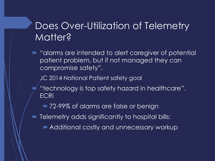#### Does Over-Utilization of Telemetry Matter?

- $\blacktriangleright$  "alarms are intended to alert caregiver of potential patient problem, but if not managed they can compromise safety".
	- JC 2014 National Patient safety goal
	- "technology is top safety hazard in healthcare". **ECRI** 
		- 72-99% of alarms are false or benign
- **Telemetry adds significantly to hospital bills:** 
	- Additional costly and unnecessary workup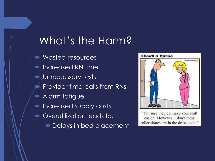## What's the Harm?

**Wasted resources**  Increased RN time  $\blacktriangleright$  Unnecessary tests Provider time-calls from RNs **• Alarm fatigue** Increased supply costs **• Overutilization leads to: Delays in bed placement** 



"I'm sure they do make your shift easier. However, I don't think roller skates are in the dress code."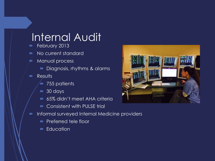#### Internal Audit

- February 2013
- No current standard
- **Manual process** 
	- Diagnosis, rhythms & alarms
- **Results** 
	- 755 patients
	- 30 days
	- 65% didn't meet AHA criteria
	- Consistent with PULSE trial
- **Informal surveyed Internal Medicine providers** 
	- **Preferred tele floor**
	- **Education**

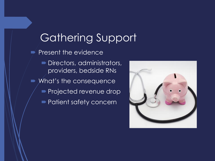Gathering Support  $\blacktriangleright$  Present the evidence Directors, administrators, providers, bedside RNs **Nitumary Musica** Music Consequence **Projected revenue drop Patient safety concernent** 

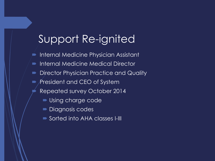# Support Re-ignited

- $\blacktriangleright$  Internal Medicine Physician Assistant
- Internal Medicine Medical Director
- Director Physician Practice and Quality
- **P** President and CEO of System
	- Repeated survey October 2014
		- **Using charge code**
		- **Diagnosis codes**
		- Sorted into AHA classes I-III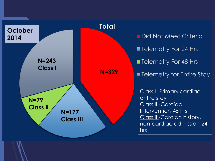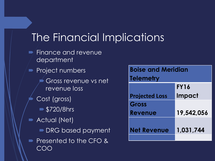# The Financial Implications

- $\blacktriangleright$  Finance and revenue department
- **Project numbers** 
	- Gross revenue vs net revenue loss
	- Cost (gross)
		- **\$720/8hrs**
- **Actual (Net)** 
	- **DRG based payment**
- Presented to the CFO & COO

| <b>Boise and Meridian</b><br><b>Telemetry</b> |               |
|-----------------------------------------------|---------------|
|                                               |               |
|                                               | <b>FY16</b>   |
| <b>Projected Loss</b>                         | <b>Impact</b> |
| Gross                                         |               |
| Revenue                                       | 19,542,056    |
|                                               |               |
| <b>Net Revenue</b>                            | 1,031,744     |
|                                               |               |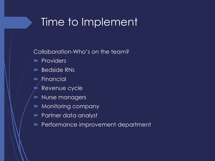### Time to Implement

Collaboration-Who's on the team?

- **Providers**
- **Bedside RNs**
- $\overline{\phantom{a}}$  Financial
	- Revenue cycle
- Nurse managers
- **Monitoring company**
- **Partner data analyst**
- **Performance improvement department**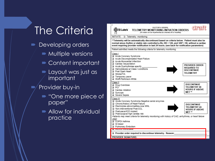# The Criteria

- Developing orders
	- **Multiple versions**
	- Content important
	- **Layout was just as** important
	- Provider buy-in
		- "One more piece of paper"
		- **Allow for individual** practice

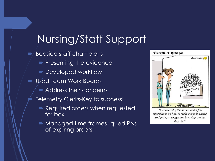# Nursing/Staff Support

- $\blacktriangleright$  Bedside staff champions
	- $\blacktriangleright$  Presenting the evidence
	- Developed workflow
- Used Team Work Boards
	- **Address their concerns**
	- Telemetry Clerks-Key to success!
		- Required orders when requested for box
		- **Managed time frames- qued RNs** of expiring orders



"I wondered if the nurses had a few suggestions on how to make our jobs easier, so I put up a suggestion box. Apparently, they  $do.$ "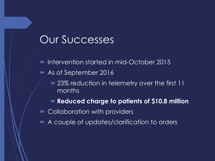#### Our Successes

- Intervention started in mid-October 2015
- As of September 2016
	- 23% reduction in telemetry over the first 11 months
	- **Reduced charge to patients of \$10.8 million**
- **Collaboration with providers**
- A couple of updates/clarification to orders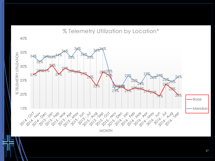#### % Telemetry Utilization by Location\*

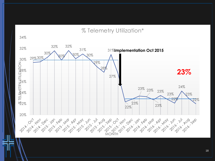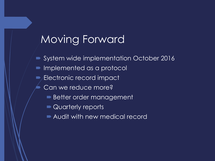# Moving Forward

- System wide implementation October 2016
- Implemented as a protocol
- Electronic record impact
	- Can we reduce more?
		- **Better order management**
		- **Quarterly reports**
		- Audit with new medical record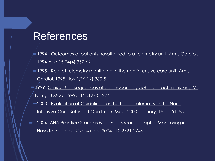#### References

- 1994 Outcomes of patients hospitalized to a telemetry unit. Am J Cardiol. 1994 Aug 15;74(4):357-62.
- 1995 Role of telemetry monitoring in the non-intensive care unit. Am J Cardiol. 1995 Nov 1;76(12):960-5.
- 1999- Clinical Consequences of electrocardiographic artifact mimicking VT. N Engl J Med; 1999; 341:1270-1274.
	- 2000 Evaluation of Guidelines for the Use of Telemetry in the Non– Intensive-Care Setting. J Gen Intern Med. 2000 January; 15(1): 51–55.
- 2004- AHA Practice Standards for Electrocardiographic Monitoring in Hospital Settings. *Circulation.* 2004;110:2721-2746.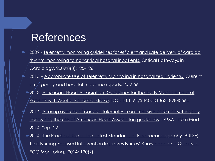#### References

- 2009 Telemetry monitoring guidelines for efficient and safe delivery of cardiac rhythm monitoring to noncritical hospital inpatients. Critical Pathways in Cardiology. 2009;8(3):125-126.
- 2013 Appropriate Use of Telemetry Monitoring in hospitalized Patients. Current emergency and hospital medicine reports; 2:52-56.
	- **2013- American Heart Association- Guidelines for the Early Management of** Patients with Acute Ischemic Stroke. DOI: 10.1161/STR.0b013e318284056a
		- 2014- Altering overuse of cardiac telemetry in on-intensive care unit settings by hardwiring the use of American Heart Assocaiton guidelines. JAMA Intern Med 2014, Sept 22.
	- 2014 -The Practical Use of the Latest Standards of Electrocardiography (PULSE) Trial: Nursing-Focused Intervention Improves Nurses' Knowledge and Quality of ECG Monitoring**.** 201**4;** 130(2).